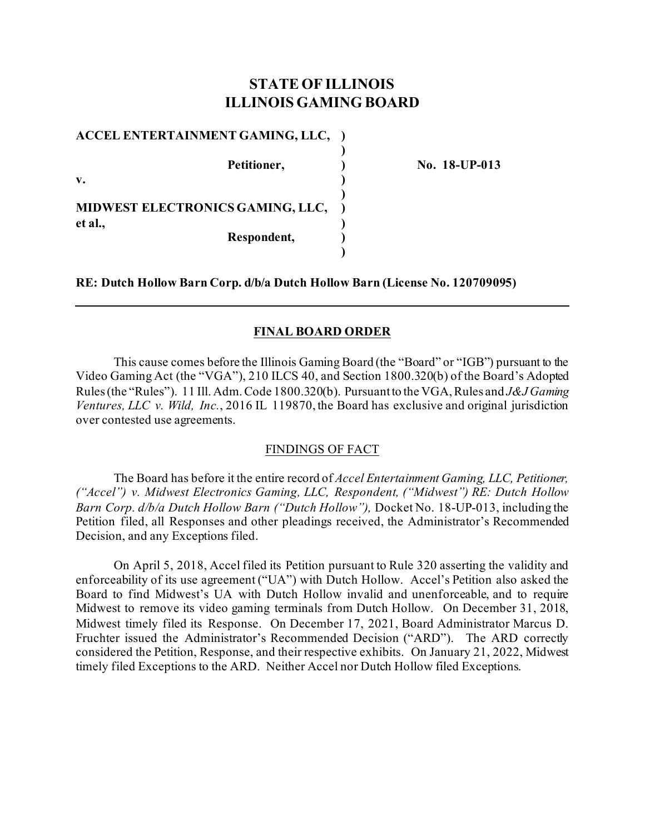# **STATE OF ILLINOIS ILLINOIS GAMING BOARD**

**)**

**)**

**)**

**ACCEL ENTERTAINMENT GAMING, LLC, ) Petitioner, ) No. 18-UP-013 v. ) MIDWEST ELECTRONICS GAMING, LLC, )**

**et al., )**

**Respondent, )**

**RE: Dutch Hollow Barn Corp. d/b/a Dutch Hollow Barn (License No. 120709095)**

### **FINAL BOARD ORDER**

This cause comes before the Illinois Gaming Board (the "Board" or "IGB") pursuant to the Video Gaming Act (the "VGA"), 210 ILCS 40, and Section 1800.320(b) of the Board's Adopted Rules (the "Rules"). 11 Ill. Adm. Code 1800.320(b). Pursuant to the VGA, Rules and *J&J Gaming Ventures, LLC v. Wild, Inc.*, 2016 IL 119870, the Board has exclusive and original jurisdiction over contested use agreements.

### FINDINGS OF FACT

The Board has before it the entire record of *Accel Entertainment Gaming, LLC, Petitioner, ("Accel") v. Midwest Electronics Gaming, LLC, Respondent, ("Midwest") RE: Dutch Hollow Barn Corp. d/b/a Dutch Hollow Barn ("Dutch Hollow"),* Docket No. 18-UP-013, including the Petition filed, all Responses and other pleadings received, the Administrator's Recommended Decision, and any Exceptions filed.

On April 5, 2018, Accel filed its Petition pursuant to Rule 320 asserting the validity and enforceability of its use agreement ("UA") with Dutch Hollow. Accel's Petition also asked the Board to find Midwest's UA with Dutch Hollow invalid and unenforceable, and to require Midwest to remove its video gaming terminals from Dutch Hollow. On December 31, 2018, Midwest timely filed its Response. On December 17, 2021, Board Administrator Marcus D. Fruchter issued the Administrator's Recommended Decision ("ARD"). The ARD correctly considered the Petition, Response, and their respective exhibits. On January 21, 2022, Midwest timely filed Exceptions to the ARD. Neither Accel nor Dutch Hollow filed Exceptions.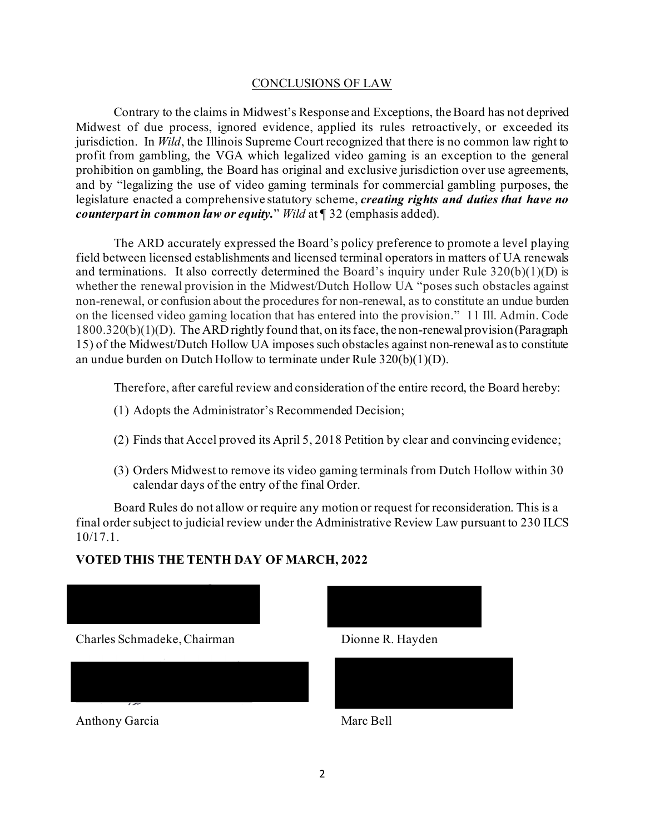## CONCLUSIONS OF LAW

Contrary to the claims in Midwest's Response and Exceptions, the Board has not deprived Midwest of due process, ignored evidence, applied its rules retroactively, or exceeded its jurisdiction. In *Wild*, the Illinois Supreme Court recognized that there is no common law right to profit from gambling, the VGA which legalized video gaming is an exception to the general prohibition on gambling, the Board has original and exclusive jurisdiction over use agreements, and by "legalizing the use of video gaming terminals for commercial gambling purposes, the legislature enacted a comprehensive statutory scheme, *creating rights and duties that have no counterpart in common law or equity.*" *Wild* at ¶ 32 (emphasis added).

The ARD accurately expressed the Board's policy preference to promote a level playing field between licensed establishments and licensed terminal operators in matters of UA renewals and terminations. It also correctly determined the Board's inquiry under Rule  $320(b)(1)(D)$  is whether the renewal provision in the Midwest/Dutch Hollow UA "poses such obstacles against non-renewal, or confusion about the procedures for non-renewal, as to constitute an undue burden on the licensed video gaming location that has entered into the provision." 11 Ill. Admin. Code 1800.320(b)(1)(D). The ARD rightly found that, on its face, the non-renewal provision (Paragraph 15) of the Midwest/Dutch Hollow UA imposes such obstacles against non-renewal as to constitute an undue burden on Dutch Hollow to terminate under Rule 320(b)(1)(D).

Therefore, after careful review and consideration of the entire record, the Board hereby:

- (1) Adopts the Administrator's Recommended Decision;
- (2) Finds that Accel proved its April 5, 2018 Petition by clear and convincing evidence;
- (3) Orders Midwest to remove its video gaming terminals from Dutch Hollow within 30 calendar days of the entry of the final Order.

Board Rules do not allow or require any motion or request for reconsideration. This is a final order subject to judicial review under the Administrative Review Law pursuant to 230 ILCS 10/17.1.

# **VOTED THIS THE TENTH DAY OF MARCH, 2022**



Anthony Garcia Marc Bell



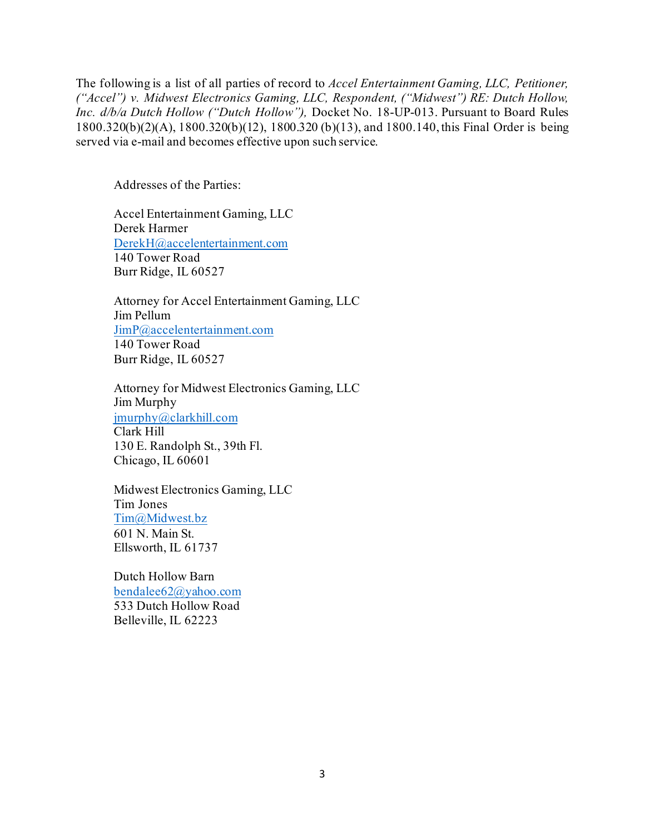The following is a list of all parties of record to *Accel Entertainment Gaming, LLC, Petitioner, ("Accel") v. Midwest Electronics Gaming, LLC, Respondent, ("Midwest") RE: Dutch Hollow, Inc. d/b/a Dutch Hollow ("Dutch Hollow"),* Docket No. 18-UP-013. Pursuant to Board Rules 1800.320(b)(2)(A), 1800.320(b)(12), 1800.320 (b)(13), and 1800.140, this Final Order is being served via e-mail and becomes effective upon such service.

Addresses of the Parties:

Accel Entertainment Gaming, LLC Derek Harmer [DerekH@accelentertainment.com](mailto:DerekH@accelentertainment.com) 140 Tower Road Burr Ridge, IL 60527

Attorney for Accel Entertainment Gaming, LLC Jim Pellum [JimP@accelentertainment.com](mailto:JimP@accelentertainment.com) 140 Tower Road Burr Ridge, IL 60527

Attorney for Midwest Electronics Gaming, LLC Jim Murphy [jmurphy@clarkhill.com](mailto:jmurphy@clarkhill.com) Clark Hill 130 E. Randolph St., 39th Fl. Chicago, IL 60601

Midwest Electronics Gaming, LLC Tim Jones [Tim@Midwest.bz](mailto:Tim@Midwest.bz) 601 N. Main St. Ellsworth, IL 61737

Dutch Hollow Barn [bendalee62@yahoo.com](mailto:bendalee62@yahoo.com) 533 Dutch Hollow Road Belleville, IL 62223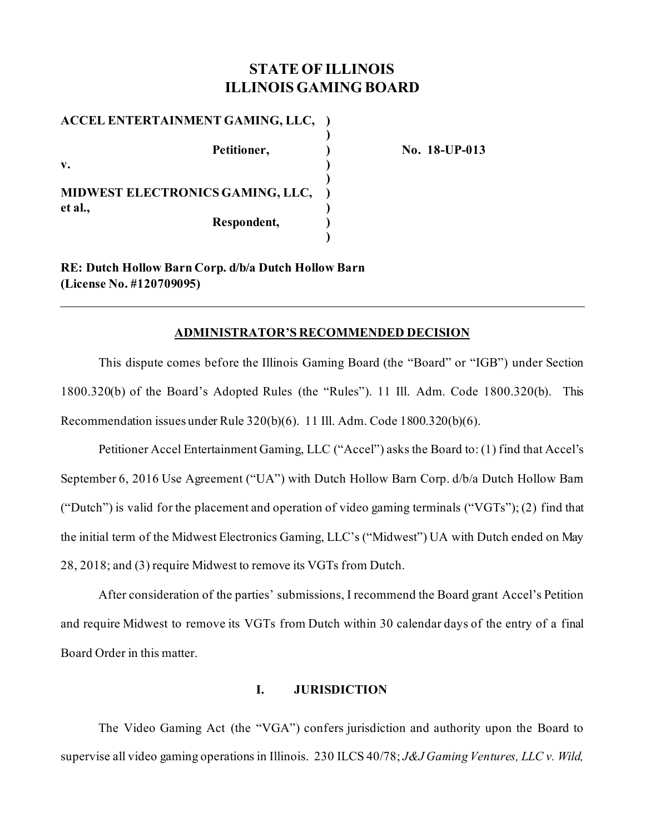# **STATE OF ILLINOIS ILLINOIS GAMING BOARD**

**ACCEL ENTERTAINMENT GAMING, LLC, ) ) Petitioner, ) No. 18-UP-013 v. ) ) MIDWEST ELECTRONICS GAMING, LLC, ) et al., ) Respondent, ) )**

**RE: Dutch Hollow Barn Corp. d/b/a Dutch Hollow Barn (License No. #120709095)**

### **ADMINISTRATOR'S RECOMMENDED DECISION**

This dispute comes before the Illinois Gaming Board (the "Board" or "IGB") under Section 1800.320(b) of the Board's Adopted Rules (the "Rules"). 11 Ill. Adm. Code 1800.320(b). This Recommendation issues under Rule 320(b)(6). 11 Ill. Adm. Code 1800.320(b)(6).

Petitioner Accel Entertainment Gaming, LLC ("Accel") asks the Board to: (1) find that Accel's September 6, 2016 Use Agreement ("UA") with Dutch Hollow Barn Corp. d/b/a Dutch Hollow Barn ("Dutch") is valid for the placement and operation of video gaming terminals ("VGTs"); (2) find that the initial term of the Midwest Electronics Gaming, LLC's ("Midwest") UA with Dutch ended on May 28, 2018; and (3) require Midwest to remove its VGTs from Dutch.

After consideration of the parties' submissions, I recommend the Board grant Accel's Petition and require Midwest to remove its VGTs from Dutch within 30 calendar days of the entry of a final Board Order in this matter.

## **I. JURISDICTION**

The Video Gaming Act (the "VGA") confers jurisdiction and authority upon the Board to supervise all video gaming operations in Illinois. 230 ILCS 40/78; *J&J Gaming Ventures, LLC v. Wild,*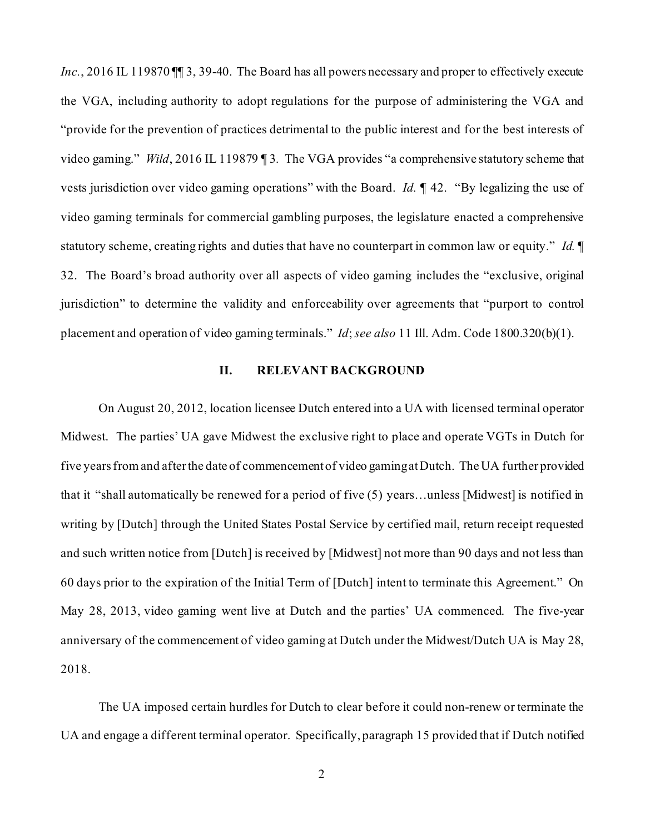Inc., 2016 IL 119870 II 3, 39-40. The Board has all powers necessary and proper to effectively execute the VGA, including authority to adopt regulations for the purpose of administering the VGA and "provide for the prevention of practices detrimental to the public interest and for the best interests of video gaming." *Wild*, 2016 IL 119879 ¶ 3*.* The VGA provides "a comprehensive statutory scheme that vests jurisdiction over video gaming operations" with the Board. *Id.* ¶ 42. "By legalizing the use of video gaming terminals for commercial gambling purposes, the legislature enacted a comprehensive statutory scheme, creating rights and duties that have no counterpart in common law or equity." *Id.* ¶ 32. The Board's broad authority over all aspects of video gaming includes the "exclusive, original jurisdiction" to determine the validity and enforceability over agreements that "purport to control placement and operation of video gaming terminals." *Id*; *see also* 11 Ill. Adm. Code 1800.320(b)(1).

### **II. RELEVANT BACKGROUND**

On August 20, 2012, location licensee Dutch entered into a UA with licensed terminal operator Midwest. The parties' UA gave Midwest the exclusive right to place and operate VGTs in Dutch for five years from and after the date of commencement of video gamingat Dutch. The UA further provided that it "shall automatically be renewed for a period of five (5) years…unless [Midwest] is notified in writing by [Dutch] through the United States Postal Service by certified mail, return receipt requested and such written notice from [Dutch] is received by [Midwest] not more than 90 days and not less than 60 days prior to the expiration of the Initial Term of [Dutch] intent to terminate this Agreement." On May 28, 2013, video gaming went live at Dutch and the parties' UA commenced. The five-year anniversary of the commencement of video gaming at Dutch under the Midwest/Dutch UA is May 28, 2018.

The UA imposed certain hurdles for Dutch to clear before it could non-renew or terminate the UA and engage a different terminal operator. Specifically, paragraph 15 provided that if Dutch notified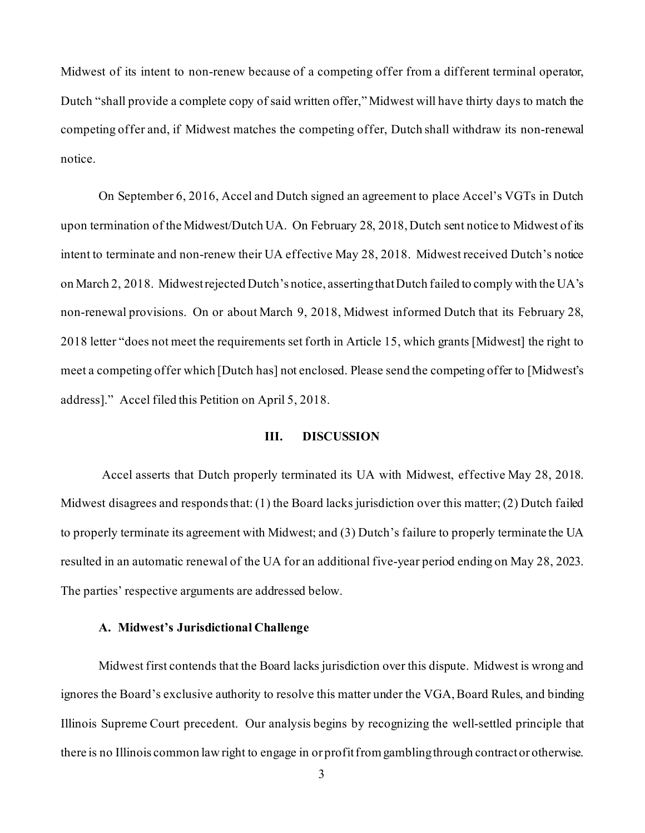Midwest of its intent to non-renew because of a competing offer from a different terminal operator, Dutch "shall provide a complete copy of said written offer," Midwest will have thirty days to match the competing offer and, if Midwest matches the competing offer, Dutch shall withdraw its non-renewal notice.

On September 6, 2016, Accel and Dutch signed an agreement to place Accel's VGTs in Dutch upon termination of the Midwest/Dutch UA. On February 28, 2018, Dutch sent notice to Midwest of its intent to terminate and non-renew their UA effective May 28, 2018. Midwest received Dutch's notice on March 2, 2018. Midwest rejected Dutch's notice, asserting that Dutch failed to comply with the UA's non-renewal provisions. On or about March 9, 2018, Midwest informed Dutch that its February 28, 2018 letter "does not meet the requirements set forth in Article 15, which grants [Midwest] the right to meet a competing offer which [Dutch has] not enclosed. Please send the competing offer to [Midwest's address]." Accel filed this Petition on April 5, 2018.

### **III. DISCUSSION**

Accel asserts that Dutch properly terminated its UA with Midwest, effective May 28, 2018. Midwest disagrees and responds that: (1) the Board lacks jurisdiction over this matter; (2) Dutch failed to properly terminate its agreement with Midwest; and (3) Dutch's failure to properly terminate the UA resulted in an automatic renewal of the UA for an additional five-year period ending on May 28, 2023. The parties' respective arguments are addressed below.

### **A. Midwest's Jurisdictional Challenge**

Midwest first contends that the Board lacks jurisdiction over this dispute. Midwest is wrong and ignores the Board's exclusive authority to resolve this matter under the VGA, Board Rules, and binding Illinois Supreme Court precedent. Our analysis begins by recognizing the well-settled principle that there is no Illinois common law right to engage in or profit from gambling through contract or otherwise.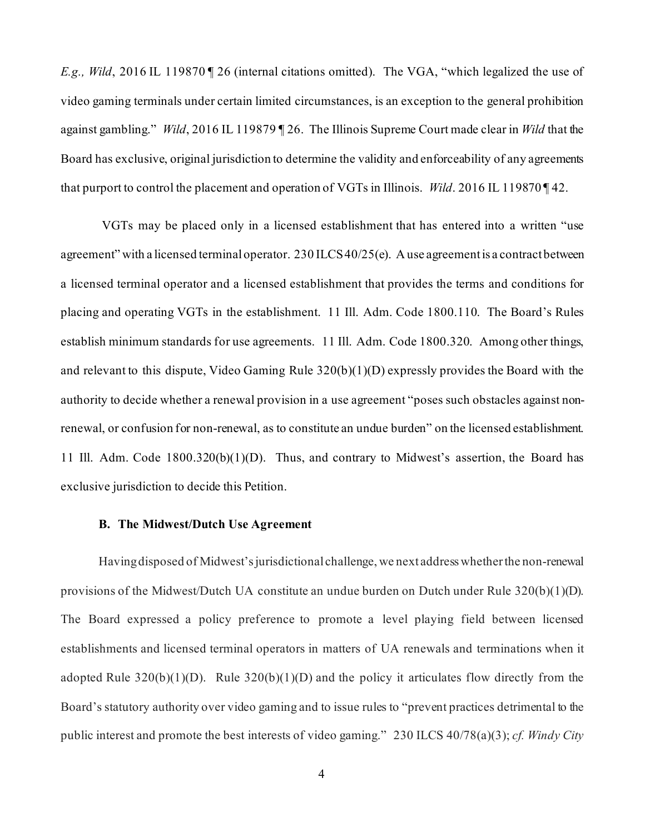*E.g., Wild*, 2016 IL 119870 | 26 (internal citations omitted). The VGA, "which legalized the use of video gaming terminals under certain limited circumstances, is an exception to the general prohibition against gambling." *Wild*, 2016 IL 119879 ¶ 26. The Illinois Supreme Court made clear in *Wild* that the Board has exclusive, original jurisdiction to determine the validity and enforceability of any agreements that purport to control the placement and operation of VGTs in Illinois. *Wild*. 2016 IL 119870 ¶ 42.

VGTs may be placed only in a licensed establishment that has entered into a written "use agreement" with a licensed terminal operator. 230 ILCS 40/25(e). A use agreement is a contract between a licensed terminal operator and a licensed establishment that provides the terms and conditions for placing and operating VGTs in the establishment. 11 Ill. Adm. Code 1800.110. The Board's Rules establish minimum standards for use agreements. 11 Ill. Adm. Code 1800.320. Among other things, and relevant to this dispute, Video Gaming Rule 320(b)(1)(D) expressly provides the Board with the authority to decide whether a renewal provision in a use agreement "poses such obstacles against nonrenewal, or confusion for non-renewal, as to constitute an undue burden" on the licensed establishment. 11 Ill. Adm. Code 1800.320(b)(1)(D). Thus, and contrary to Midwest's assertion, the Board has exclusive jurisdiction to decide this Petition.

### **B. The Midwest/Dutch Use Agreement**

Having disposed of Midwest's jurisdictional challenge, we next address whether the non-renewal provisions of the Midwest/Dutch UA constitute an undue burden on Dutch under Rule 320(b)(1)(D). The Board expressed a policy preference to promote a level playing field between licensed establishments and licensed terminal operators in matters of UA renewals and terminations when it adopted Rule  $320(b)(1)(D)$ . Rule  $320(b)(1)(D)$  and the policy it articulates flow directly from the Board's statutory authority over video gaming and to issue rules to "prevent practices detrimental to the public interest and promote the best interests of video gaming." 230 ILCS 40/78(a)(3); *cf. Windy City*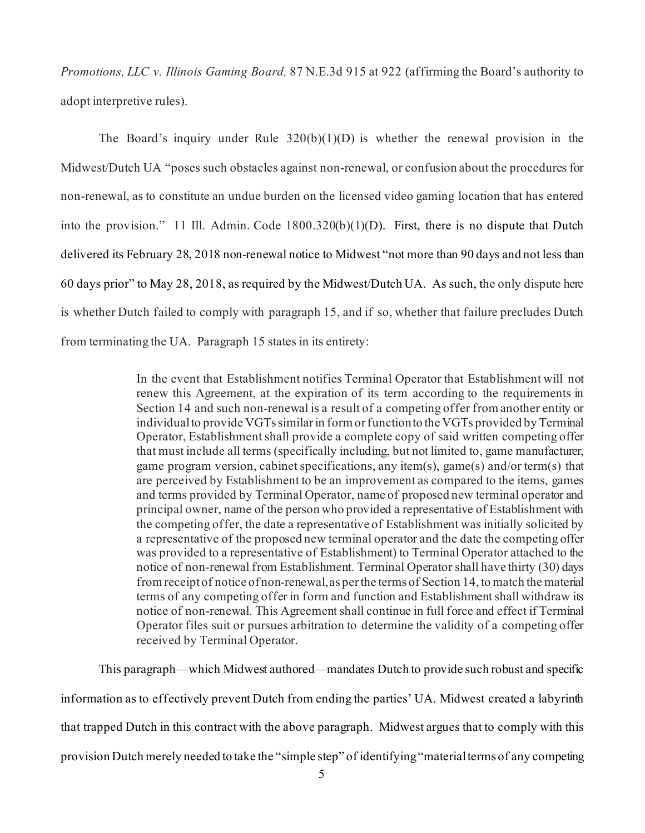*Promotions, LLC v. Illinois Gaming Board,* 87 N.E.3d 915 at 922 (affirming the Board's authority to adopt interpretive rules).

The Board's inquiry under Rule  $320(b)(1)(D)$  is whether the renewal provision in the Midwest/Dutch UA "poses such obstacles against non-renewal, or confusion about the procedures for non-renewal, as to constitute an undue burden on the licensed video gaming location that has entered into the provision." 11 Ill. Admin. Code 1800.320(b)(1)(D). First, there is no dispute that Dutch delivered its February 28, 2018 non-renewal notice to Midwest "not more than 90 days and not less than 60 days prior" to May 28, 2018, as required by the Midwest/Dutch UA. As such, the only dispute here is whether Dutch failed to comply with paragraph 15, and if so, whether that failure precludes Dutch from terminating the UA. Paragraph 15 states in its entirety:

> In the event that Establishment notifies Terminal Operator that Establishment will not renew this Agreement, at the expiration of its term according to the requirements in Section 14 and such non-renewal is a result of a competing offer from another entity or individual to provide VGTs similar in form or function to the VGTs provided by Terminal Operator, Establishment shall provide a complete copy of said written competing offer that must include all terms (specifically including, but not limited to, game manufacturer, game program version, cabinet specifications, any item(s), game(s) and/or term(s) that are perceived by Establishment to be an improvement as compared to the items, games and terms provided by Terminal Operator, name of proposed new terminal operator and principal owner, name of the person who provided a representative of Establishment with the competing offer, the date a representative of Establishment was initially solicited by a representative of the proposed new terminal operator and the date the competing offer was provided to a representative of Establishment) to Terminal Operator attached to the notice of non-renewal from Establishment. Terminal Operator shall have thirty (30) days from receipt of notice of non-renewal, as per the terms of Section 14, to match the material terms of any competing offer in form and function and Establishment shall withdraw its notice of non-renewal. This Agreement shall continue in full force and effect if Terminal Operator files suit or pursues arbitration to determine the validity of a competing offer received by Terminal Operator.

This paragraph—which Midwest authored—mandates Dutch to provide such robust and specific information as to effectively prevent Dutch from ending the parties' UA. Midwest created a labyrinth that trapped Dutch in this contract with the above paragraph. Midwest argues that to comply with this provision Dutch merely needed to take the "simple step" of identifying "material terms of any competing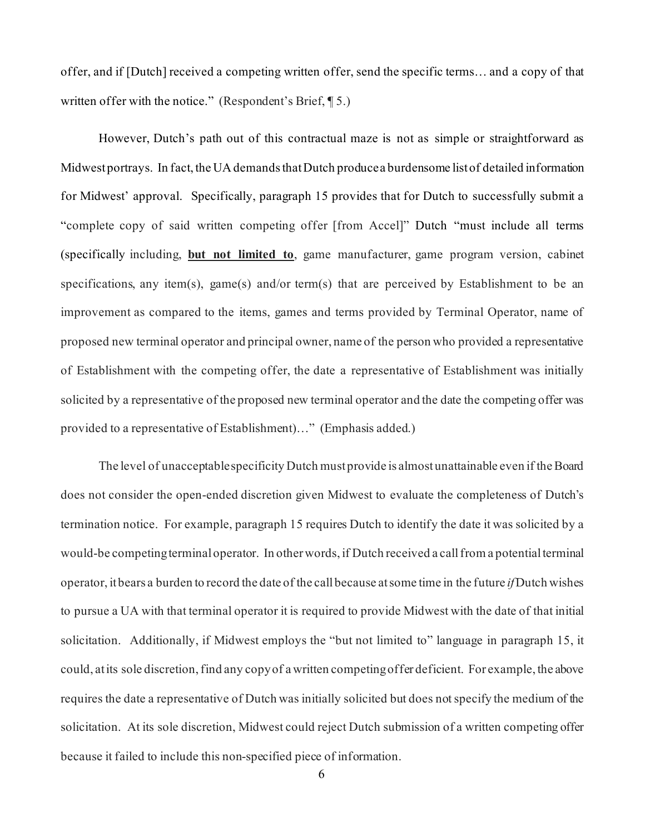offer, and if [Dutch] received a competing written offer, send the specific terms… and a copy of that written offer with the notice." (Respondent's Brief, ¶ 5.)

However, Dutch's path out of this contractual maze is not as simple or straightforward as Midwest portrays. In fact, the UA demands that Dutch produce a burdensome list of detailed information for Midwest' approval. Specifically, paragraph 15 provides that for Dutch to successfully submit a "complete copy of said written competing offer [from Accel]" Dutch "must include all terms (specifically including, **but not limited to**, game manufacturer, game program version, cabinet specifications, any item(s), game(s) and/or term(s) that are perceived by Establishment to be an improvement as compared to the items, games and terms provided by Terminal Operator, name of proposed new terminal operator and principal owner, name of the person who provided a representative of Establishment with the competing offer, the date a representative of Establishment was initially solicited by a representative of the proposed new terminal operator and the date the competing offer was provided to a representative of Establishment)…" (Emphasis added.)

The level of unacceptable specificity Dutch must provide is almost unattainable even if the Board does not consider the open-ended discretion given Midwest to evaluate the completeness of Dutch's termination notice. For example, paragraph 15 requires Dutch to identify the date it was solicited by a would-be competing terminal operator. In other words, if Dutch received a call from a potential terminal operator, it bears a burden to record the date of the call because at some time in the future *if*Dutch wishes to pursue a UA with that terminal operator it is required to provide Midwest with the date of that initial solicitation. Additionally, if Midwest employs the "but not limited to" language in paragraph 15, it could, at its sole discretion,find any copy of a written competing offer deficient. For example, the above requires the date a representative of Dutch was initially solicited but does not specify the medium of the solicitation. At its sole discretion, Midwest could reject Dutch submission of a written competing offer because it failed to include this non-specified piece of information.